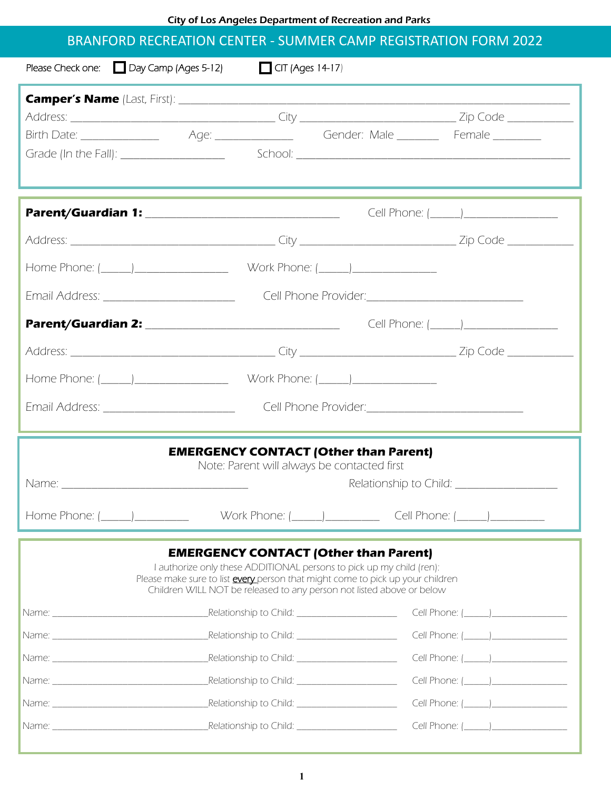City of Los Angeles Department of Recreation and Parks

#### BRANFORD RECREATION CENTER - SUMMER CAMP REGISTRATION FORM 2022

|                                                                                                                                                                                                                                                                                 | Please Check one: $\Box$ Day Camp (Ages 5-12) | $\Box$ CIT (Ages 14-17)                          |  |                                          |  |  |  |
|---------------------------------------------------------------------------------------------------------------------------------------------------------------------------------------------------------------------------------------------------------------------------------|-----------------------------------------------|--------------------------------------------------|--|------------------------------------------|--|--|--|
|                                                                                                                                                                                                                                                                                 |                                               |                                                  |  |                                          |  |  |  |
|                                                                                                                                                                                                                                                                                 |                                               |                                                  |  |                                          |  |  |  |
|                                                                                                                                                                                                                                                                                 |                                               |                                                  |  |                                          |  |  |  |
|                                                                                                                                                                                                                                                                                 |                                               |                                                  |  |                                          |  |  |  |
|                                                                                                                                                                                                                                                                                 |                                               |                                                  |  |                                          |  |  |  |
|                                                                                                                                                                                                                                                                                 |                                               |                                                  |  |                                          |  |  |  |
|                                                                                                                                                                                                                                                                                 |                                               |                                                  |  |                                          |  |  |  |
|                                                                                                                                                                                                                                                                                 |                                               |                                                  |  |                                          |  |  |  |
|                                                                                                                                                                                                                                                                                 |                                               |                                                  |  |                                          |  |  |  |
|                                                                                                                                                                                                                                                                                 |                                               |                                                  |  | Cell Phone: (______)____________________ |  |  |  |
|                                                                                                                                                                                                                                                                                 |                                               |                                                  |  |                                          |  |  |  |
|                                                                                                                                                                                                                                                                                 |                                               |                                                  |  |                                          |  |  |  |
|                                                                                                                                                                                                                                                                                 |                                               |                                                  |  |                                          |  |  |  |
| <b>EMERGENCY CONTACT (Other than Parent)</b><br>Note: Parent will always be contacted first                                                                                                                                                                                     |                                               |                                                  |  |                                          |  |  |  |
| Home Phone: (_______)_______________                                                                                                                                                                                                                                            |                                               | Work Phone: <u>(______) ________</u>             |  | Cell Phone: (______)___________          |  |  |  |
| <b>EMERGENCY CONTACT (Other than Parent)</b><br>I authorize only these ADDITIONAL persons to pick up my child (ren):<br>Please make sure to list every person that might come to pick up your children<br>Children WILL NOT be released to any person not listed above or below |                                               |                                                  |  |                                          |  |  |  |
|                                                                                                                                                                                                                                                                                 |                                               | Relationship to Child: ________________________  |  |                                          |  |  |  |
|                                                                                                                                                                                                                                                                                 |                                               |                                                  |  |                                          |  |  |  |
|                                                                                                                                                                                                                                                                                 |                                               | Relationship to Child: _________________________ |  |                                          |  |  |  |
|                                                                                                                                                                                                                                                                                 |                                               | Relationship to Child: 2000 2000 2010            |  |                                          |  |  |  |
|                                                                                                                                                                                                                                                                                 |                                               | Relationship to Child: _________________________ |  |                                          |  |  |  |
|                                                                                                                                                                                                                                                                                 |                                               |                                                  |  |                                          |  |  |  |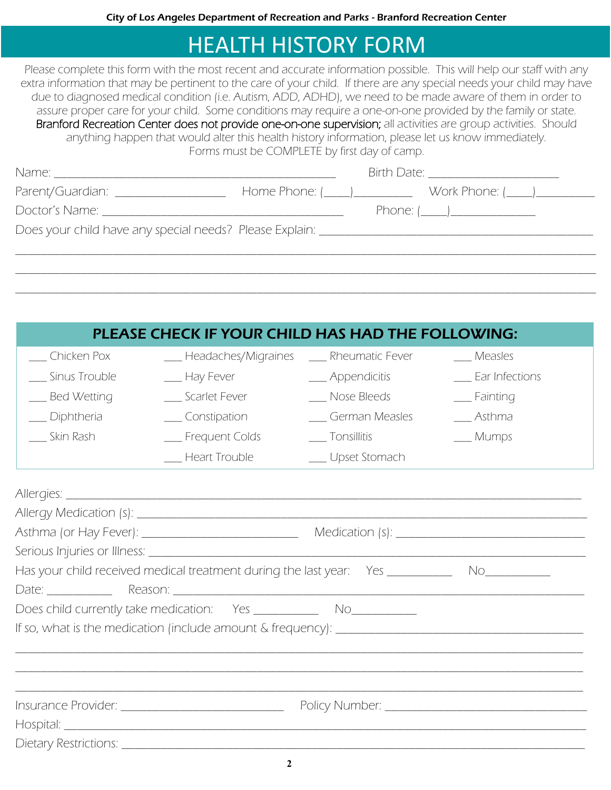# HEALTH HISTORY FORM

Please complete this form with the most recent and accurate information possible. This will help our staff with any extra information that may be pertinent to the care of your child. If there are any special needs your child may have due to diagnosed medical condition (i.e. Autism, ADD, ADHD), we need to be made aware of them in order to assure proper care for your child. Some conditions may require a one-on-one provided by the family or state. Branford Recreation Center does not provide one-on-one supervision; all activities are group activities. Should anything happen that would alter this health history information, please let us know immediately. Forms must be COMPLETE by first day of camp.

| Parent/Guardian: __________________ |                 |
|-------------------------------------|-----------------|
|                                     | Phone: $(\_\_)$ |
|                                     |                 |
|                                     |                 |
|                                     |                 |
|                                     |                 |

|                                                                                                    | PLEASE CHECK IF YOUR CHILD HAS HAD THE FOLLOWING: |                 |                   |  |  |  |  |  |
|----------------------------------------------------------------------------------------------------|---------------------------------------------------|-----------------|-------------------|--|--|--|--|--|
| __ Chicken Pox                                                                                     | __ Headaches/Migraines                            | Rheumatic Fever | __ Measles        |  |  |  |  |  |
| __ Sinus Trouble                                                                                   | __ Hay Fever                                      | __ Appendicitis | _ Ear Infections  |  |  |  |  |  |
| <b>Bed Wetting</b>                                                                                 | __ Scarlet Fever                                  | _ Nose Bleeds   | $\equiv$ Fainting |  |  |  |  |  |
| Diphtheria                                                                                         | __ Constipation                                   | German Measles  | Asthma            |  |  |  |  |  |
| Skin Rash                                                                                          | _ Frequent Colds                                  | ___ Tonsillitis | __ Mumps          |  |  |  |  |  |
|                                                                                                    | <b>Heart Trouble</b>                              | _ Upset Stomach |                   |  |  |  |  |  |
|                                                                                                    |                                                   |                 |                   |  |  |  |  |  |
|                                                                                                    |                                                   |                 |                   |  |  |  |  |  |
|                                                                                                    |                                                   |                 |                   |  |  |  |  |  |
|                                                                                                    |                                                   |                 |                   |  |  |  |  |  |
| Has your child received medical treatment during the last year: Yes ____________ No_______________ |                                                   |                 |                   |  |  |  |  |  |
|                                                                                                    |                                                   |                 |                   |  |  |  |  |  |
|                                                                                                    |                                                   |                 |                   |  |  |  |  |  |
|                                                                                                    |                                                   |                 |                   |  |  |  |  |  |
|                                                                                                    |                                                   |                 |                   |  |  |  |  |  |
|                                                                                                    |                                                   |                 |                   |  |  |  |  |  |
|                                                                                                    |                                                   |                 |                   |  |  |  |  |  |
|                                                                                                    |                                                   |                 |                   |  |  |  |  |  |
|                                                                                                    |                                                   |                 |                   |  |  |  |  |  |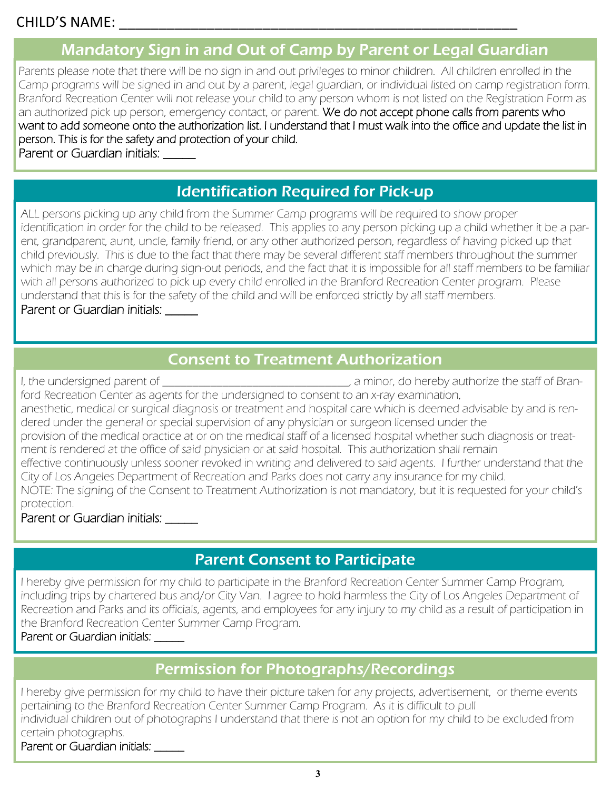# Mandatory Sign in and Out of Camp by Parent or Legal Guardian

Parents please note that there will be no sign in and out privileges to minor children. All children enrolled in the Camp programs will be signed in and out by a parent, legal guardian, or individual listed on camp registration form. Branford Recreation Center will not release your child to any person whom is not listed on the Registration Form as an authorized pick up person, emergency contact, or parent. We do not accept phone calls from parents who want to add someone onto the authorization list. I understand that I must walk into the office and update the list in person. This is for the safety and protection of your child. Parent or Guardian initials:

# Identification Required for Pick-up

ALL persons picking up any child from the Summer Camp programs will be required to show proper identification in order for the child to be released. This applies to any person picking up a child whether it be a parent, grandparent, aunt, uncle, family friend, or any other authorized person, regardless of having picked up that child previously. This is due to the fact that there may be several different staff members throughout the summer which may be in charge during sign-out periods, and the fact that it is impossible for all staff members to be familiar with all persons authorized to pick up every child enrolled in the Branford Recreation Center program. Please understand that this is for the safety of the child and will be enforced strictly by all staff members. Parent or Guardian initials:

## Consent to Treatment Authorization

I, the undersigned parent of \_\_\_\_\_\_\_\_\_\_\_\_\_\_\_\_\_\_\_\_\_\_\_\_\_\_\_\_\_\_\_\_, a minor, do hereby authorize the staff of Branford Recreation Center as agents for the undersigned to consent to an x-ray examination, anesthetic, medical or surgical diagnosis or treatment and hospital care which is deemed advisable by and is rendered under the general or special supervision of any physician or surgeon licensed under the provision of the medical practice at or on the medical staff of a licensed hospital whether such diagnosis or treatment is rendered at the office of said physician or at said hospital. This authorization shall remain effective continuously unless sooner revoked in writing and delivered to said agents. I further understand that the City of Los Angeles Department of Recreation and Parks does not carry any insurance for my child. NOTE: The signing of the Consent to Treatment Authorization is not mandatory, but it is requested for your child's protection.

Parent or Guardian initials: \_\_\_\_\_

## Parent Consent to Participate

I hereby give permission for my child to participate in the Branford Recreation Center Summer Camp Program, including trips by chartered bus and/or City Van. I agree to hold harmless the City of Los Angeles Department of Recreation and Parks and its officials, agents, and employees for any injury to my child as a result of participation in the Branford Recreation Center Summer Camp Program.

#### Parent or Guardian initials:

# Permission for Photographs/Recordings

I hereby give permission for my child to have their picture taken for any projects, advertisement, or theme events pertaining to the Branford Recreation Center Summer Camp Program. As it is difficult to pull individual children out of photographs I understand that there is not an option for my child to be excluded from certain photographs.

#### Parent or Guardian initials: \_\_\_\_\_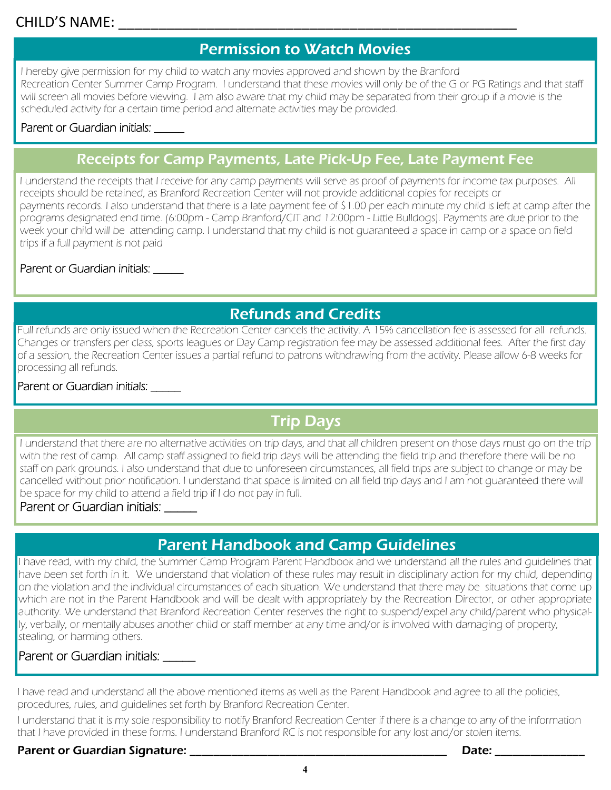## CHILD'S NAME: \_\_\_\_\_\_\_\_\_\_\_\_\_\_\_\_\_\_\_\_\_\_\_\_\_\_\_\_\_\_\_\_\_\_\_\_\_\_\_\_\_\_\_\_\_\_\_\_\_\_

# Permission to Watch Movies

I hereby give permission for my child to watch any movies approved and shown by the Branford Recreation Center Summer Camp Program. I understand that these movies will only be of the G or PG Ratings and that staff will screen all movies before viewing. I am also aware that my child may be separated from their group if a movie is the scheduled activity for a certain time period and alternate activities may be provided.

#### Parent or Guardian initials:

#### Receipts for Camp Payments, Late Pick-Up Fee, Late Payment Fee

I understand the receipts that I receive for any camp payments will serve as proof of payments for income tax purposes. All receipts should be retained, as Branford Recreation Center will not provide additional copies for receipts or payments records. I also understand that there is a late payment fee of \$1.00 per each minute my child is left at camp after the programs designated end time. (6:00pm - Camp Branford/CIT and 12:00pm - Little Bulldogs). Payments are due prior to the week your child will be attending camp. I understand that my child is not guaranteed a space in camp or a space on field trips if a full payment is not paid

#### Parent or Guardian initials: \_\_\_\_\_\_

## Refunds and Credits

Full refunds are only issued when the Recreation Center cancels the activity. A 15% cancellation fee is assessed for all refunds. Changes or transfers per class, sports leagues or Day Camp registration fee may be assessed additional fees. After the first day of a session, the Recreation Center issues a partial refund to patrons withdrawing from the activity. Please allow 6-8 weeks for processing all refunds.

#### Parent or Guardian initials:

# Trip Days

I understand that there are no alternative activities on trip days, and that all children present on those days must go on the trip with the rest of camp. All camp staff assigned to field trip days will be attending the field trip and therefore there will be no staff on park grounds. I also understand that due to unforeseen circumstances, all field trips are subject to change or may be cancelled without prior notification. I understand that space is limited on all field trip days and I am not guaranteed there will be space for my child to attend a field trip if I do not pay in full.

#### Parent or Guardian initials: \_\_\_\_\_

#### Parent Handbook and Camp Guidelines

I have read, with my child, the Summer Camp Program Parent Handbook and we understand all the rules and guidelines that have been set forth in it. We understand that violation of these rules may result in disciplinary action for my child, depending on the violation and the individual circumstances of each situation. We understand that there may be situations that come up which are not in the Parent Handbook and will be dealt with appropriately by the Recreation Director, or other appropriate authority. We understand that Branford Recreation Center reserves the right to suspend/expel any child/parent who physically, verbally, or mentally abuses another child or staff member at any time and/or is involved with damaging of property, stealing, or harming others.

#### Parent or Guardian initials: \_\_\_\_\_\_

I have read and understand all the above mentioned items as well as the Parent Handbook and agree to all the policies, procedures, rules, and guidelines set forth by Branford Recreation Center.

I understand that it is my sole responsibility to notify Branford Recreation Center if there is a change to any of the information that I have provided in these forms. I understand Branford RC is not responsible for any lost and/or stolen items.

#### Parent or Guardian Signature: \_\_\_\_\_\_\_\_\_\_\_\_\_\_\_\_\_\_\_\_\_\_\_\_\_\_\_\_\_\_\_\_\_\_\_\_\_\_\_\_\_\_\_ Date: \_\_\_\_\_\_\_\_\_\_\_\_\_\_\_

**4**